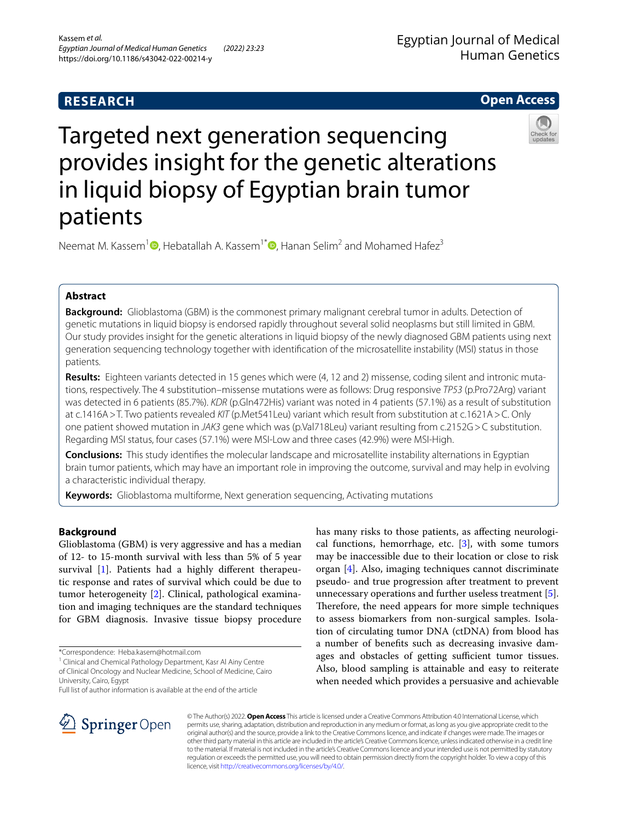# **RESEARCH**

**Open Access**

# Targeted next generation sequencing provides insight for the genetic alterations in liquid biopsy of Egyptian brain tumor patients



Neemat M. Kassem<sup>1</sup><sup>®</sup>[,](http://orcid.org/0000-0001-9295-2823) Hebatallah A. Kassem<sup>1[\\*](http://orcid.org/0000-0002-6033-6839)</sup><sup>®</sup>, Hanan Selim<sup>2</sup> and Mohamed Hafez<sup>3</sup>

# **Abstract**

**Background:** Glioblastoma (GBM) is the commonest primary malignant cerebral tumor in adults. Detection of genetic mutations in liquid biopsy is endorsed rapidly throughout several solid neoplasms but still limited in GBM. Our study provides insight for the genetic alterations in liquid biopsy of the newly diagnosed GBM patients using next generation sequencing technology together with identifcation of the microsatellite instability (MSI) status in those patients.

**Results:** Eighteen variants detected in 15 genes which were (4, 12 and 2) missense, coding silent and intronic mutations, respectively. The 4 substitution–missense mutations were as follows: Drug responsive *TP53* (p.Pro72Arg) variant was detected in 6 patients (85.7%). *KDR* (p.Gln472His) variant was noted in 4 patients (57.1%) as a result of substitution at c.1416A>T. Two patients revealed *KIT* (p.Met541Leu) variant which result from substitution at c.1621A>C. Only one patient showed mutation in *JAK3* gene which was (p.Val718Leu) variant resulting from c.2152G>C substitution. Regarding MSI status, four cases (57.1%) were MSI-Low and three cases (42.9%) were MSI-High.

**Conclusions:** This study identifes the molecular landscape and microsatellite instability alternations in Egyptian brain tumor patients, which may have an important role in improving the outcome, survival and may help in evolving a characteristic individual therapy.

**Keywords:** Glioblastoma multiforme, Next generation sequencing, Activating mutations

# **Background**

Glioblastoma (GBM) is very aggressive and has a median of 12- to 15-month survival with less than 5% of 5 year survival [\[1](#page-6-0)]. Patients had a highly diferent therapeutic response and rates of survival which could be due to tumor heterogeneity [\[2](#page-6-1)]. Clinical, pathological examination and imaging techniques are the standard techniques for GBM diagnosis. Invasive tissue biopsy procedure

<sup>1</sup> Clinical and Chemical Pathology Department, Kasr Al Ainy Centre of Clinical Oncology and Nuclear Medicine, School of Medicine, Cairo University, Cairo, Egypt

Full list of author information is available at the end of the article

has many risks to those patients, as afecting neurological functions, hemorrhage, etc.  $[3]$  $[3]$ , with some tumors may be inaccessible due to their location or close to risk organ [[4\]](#page-6-3). Also, imaging techniques cannot discriminate pseudo- and true progression after treatment to prevent unnecessary operations and further useless treatment [\[5](#page-6-4)]. Therefore, the need appears for more simple techniques to assess biomarkers from non-surgical samples. Isolation of circulating tumor DNA (ctDNA) from blood has a number of benefts such as decreasing invasive damages and obstacles of getting sufficient tumor tissues. Also, blood sampling is attainable and easy to reiterate when needed which provides a persuasive and achievable



© The Author(s) 2022. **Open Access** This article is licensed under a Creative Commons Attribution 4.0 International License, which permits use, sharing, adaptation, distribution and reproduction in any medium or format, as long as you give appropriate credit to the original author(s) and the source, provide a link to the Creative Commons licence, and indicate if changes were made. The images or other third party material in this article are included in the article's Creative Commons licence, unless indicated otherwise in a credit line to the material. If material is not included in the article's Creative Commons licence and your intended use is not permitted by statutory regulation or exceeds the permitted use, you will need to obtain permission directly from the copyright holder. To view a copy of this licence, visit [http://creativecommons.org/licenses/by/4.0/.](http://creativecommons.org/licenses/by/4.0/)

<sup>\*</sup>Correspondence: Heba.kasem@hotmail.com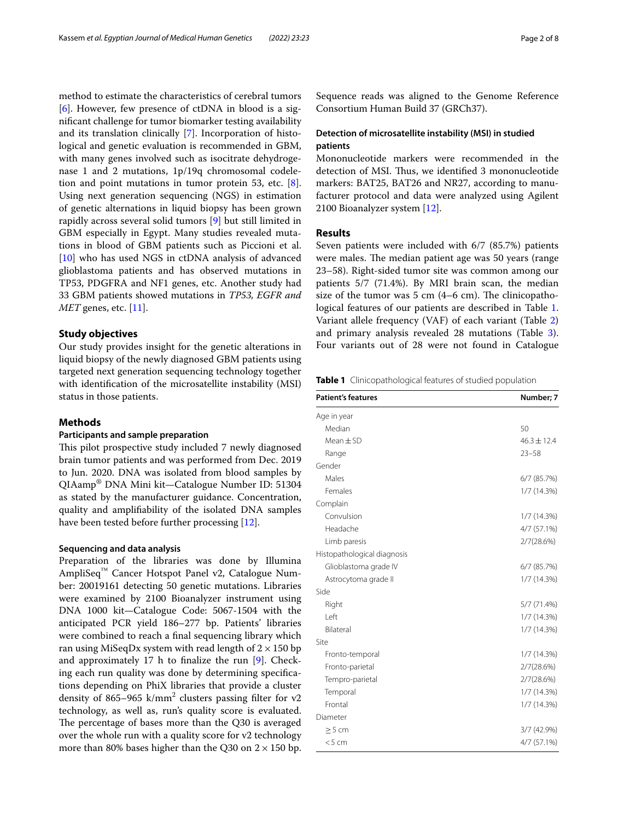method to estimate the characteristics of cerebral tumors  $[6]$  $[6]$ . However, few presence of ctDNA in blood is a signifcant challenge for tumor biomarker testing availability and its translation clinically [[7\]](#page-7-1). Incorporation of histological and genetic evaluation is recommended in GBM, with many genes involved such as isocitrate dehydrogenase 1 and 2 mutations, 1p/19q chromosomal codeletion and point mutations in tumor protein 53, etc. [\[8](#page-7-2)]. Using next generation sequencing (NGS) in estimation of genetic alternations in liquid biopsy has been grown rapidly across several solid tumors [\[9](#page-7-3)] but still limited in GBM especially in Egypt. Many studies revealed mutations in blood of GBM patients such as Piccioni et al. [[10\]](#page-7-4) who has used NGS in ctDNA analysis of advanced glioblastoma patients and has observed mutations in TP53, PDGFRA and NF1 genes, etc. Another study had 33 GBM patients showed mutations in *TP53, EGFR and MET* genes, etc. [[11](#page-7-5)].

# **Study objectives**

Our study provides insight for the genetic alterations in liquid biopsy of the newly diagnosed GBM patients using targeted next generation sequencing technology together with identifcation of the microsatellite instability (MSI) status in those patients.

## **Methods**

## **Participants and sample preparation**

This pilot prospective study included 7 newly diagnosed brain tumor patients and was performed from Dec. 2019 to Jun. 2020. DNA was isolated from blood samples by QIAamp® DNA Mini kit—Catalogue Number ID: 51304 as stated by the manufacturer guidance. Concentration, quality and amplifability of the isolated DNA samples have been tested before further processing [\[12](#page-7-6)].

# **Sequencing and data analysis**

Preparation of the libraries was done by Illumina AmpliSeq™ Cancer Hotspot Panel v2, Catalogue Number: 20019161 detecting 50 genetic mutations. Libraries were examined by 2100 Bioanalyzer instrument using DNA 1000 kit—Catalogue Code: 5067-1504 with the anticipated PCR yield 186–277 bp. Patients' libraries were combined to reach a fnal sequencing library which ran using MiSeqDx system with read length of  $2 \times 150$  bp and approximately 17  $h$  to finalize the run [[9\]](#page-7-3). Checking each run quality was done by determining specifcations depending on PhiX libraries that provide a cluster density of 865–965  $k/mm^2$  clusters passing filter for v2 technology, as well as, run's quality score is evaluated. The percentage of bases more than the  $Q30$  is averaged over the whole run with a quality score for v2 technology more than 80% bases higher than the Q30 on  $2 \times 150$  bp.

Sequence reads was aligned to the Genome Reference Consortium Human Build 37 (GRCh37).

# **Detection of microsatellite instability (MSI) in studied patients**

Mononucleotide markers were recommended in the detection of MSI. Thus, we identified 3 mononucleotide markers: BAT25, BAT26 and NR27, according to manufacturer protocol and data were analyzed using Agilent 2100 Bioanalyzer system [[12](#page-7-6)].

## **Results**

Seven patients were included with 6/7 (85.7%) patients were males. The median patient age was 50 years (range 23–58). Right-sided tumor site was common among our patients 5/7 (71.4%). By MRI brain scan, the median size of the tumor was  $5 \text{ cm}$  (4–6 cm). The clinicopathological features of our patients are described in Table [1](#page-1-0). Variant allele frequency (VAF) of each variant (Table [2](#page-2-0)) and primary analysis revealed 28 mutations (Table [3](#page-3-0)). Four variants out of 28 were not found in Catalogue

<span id="page-1-0"></span>**Table 1** Clinicopathological features of studied population

| <b>Patient's features</b>   | Number; 7       |
|-----------------------------|-----------------|
| Age in year                 |                 |
| Median                      | 50              |
| $Mean \pm SD$               | $46.3 \pm 12.4$ |
| Range                       | $23 - 58$       |
| Gender                      |                 |
| Males                       | $6/7$ (85.7%)   |
| Females                     | 1/7(14.3%)      |
| Complain                    |                 |
| Convulsion                  | 1/7(14.3%)      |
| Headache                    | 4/7 (57.1%)     |
| Limb paresis                | 2/7(28.6%)      |
| Histopathological diagnosis |                 |
| Glioblastoma grade IV       | $6/7$ (85.7%)   |
| Astrocytoma grade II        | 1/7(14.3%)      |
| Side                        |                 |
| Right                       | 5/7 (71.4%)     |
| I eft                       | $1/7(14.3\%)$   |
| <b>Bilateral</b>            | 1/7(14.3%)      |
| Site                        |                 |
| Fronto-temporal             | 1/7(14.3%)      |
| Fronto-parietal             | 2/7(28.6%)      |
| Tempro-parietal             | 2/7(28.6%)      |
| Temporal                    | 1/7(14.3%)      |
| Frontal                     | 1/7(14.3%)      |
| Diameter                    |                 |
| > 5 cm                      | 3/7 (42.9%)     |
| < 5 cm                      | 4/7 (57.1%)     |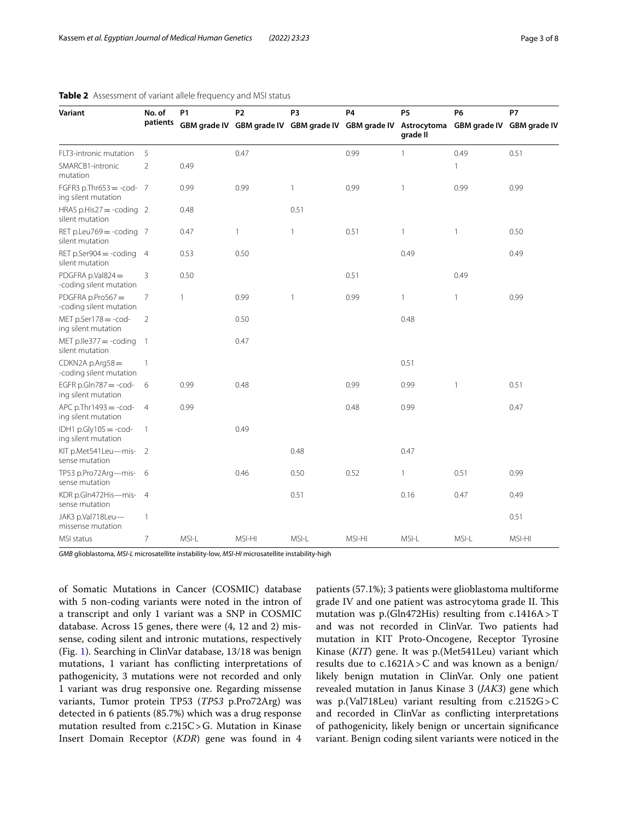| Variant                                            | No. of         | <b>P1</b>    | P <sub>2</sub> | P <sub>3</sub>                         | P <sub>4</sub> | P <sub>5</sub>          | <b>P6</b>                 | P7     |
|----------------------------------------------------|----------------|--------------|----------------|----------------------------------------|----------------|-------------------------|---------------------------|--------|
|                                                    | patients       | GBM grade IV |                | GBM grade IV GBM grade IV GBM grade IV |                | Astrocytoma<br>grade II | GBM grade IV GBM grade IV |        |
| FLT3-intronic mutation                             | 5              |              | 0.47           |                                        | 0.99           | 1                       | 0.49                      | 0.51   |
| SMARCB1-intronic<br>mutation                       | $\overline{2}$ | 0.49         |                |                                        |                |                         | 1                         |        |
| FGFR3 p.Thr653 = - cod- $7$<br>ing silent mutation |                | 0.99         | 0.99           | $\mathbf{1}$                           | 0.99           | 1                       | 0.99                      | 0.99   |
| HRAS p.His27 = - coding $2$<br>silent mutation     |                | 0.48         |                | 0.51                                   |                |                         |                           |        |
| RET p.Leu769 = - coding 7<br>silent mutation       |                | 0.47         | $\mathbf{1}$   | $\mathbf{1}$                           | 0.51           | 1                       | $\mathbf{1}$              | 0.50   |
| RET p.Ser904 = - coding $4$<br>silent mutation     |                | 0.53         | 0.50           |                                        |                | 0.49                    |                           | 0.49   |
| PDGFRA p.Val824 $=$<br>-coding silent mutation     | 3              | 0.50         |                |                                        | 0.51           |                         | 0.49                      |        |
| PDGFRA p.Pro567 $=$<br>-coding silent mutation     | $\overline{7}$ | 1            | 0.99           | 1                                      | 0.99           | 1                       | $\mathbf{1}$              | 0.99   |
| $MET p.Series178 = -cod-$<br>ing silent mutation   | $\overline{2}$ |              | 0.50           |                                        |                | 0.48                    |                           |        |
| MET p.lle377 $=$ -coding<br>silent mutation        | $\overline{1}$ |              | 0.47           |                                        |                |                         |                           |        |
| $CDKN2A p.Arq58 =$<br>-coding silent mutation      | $\mathbf{1}$   |              |                |                                        |                | 0.51                    |                           |        |
| EGFR p.Gln787 $= -cod-$<br>ing silent mutation     | 6              | 0.99         | 0.48           |                                        | 0.99           | 0.99                    | $\mathbf{1}$              | 0.51   |
| $APC$ p. Thr $1493 = -cod-$<br>ing silent mutation | $\overline{4}$ | 0.99         |                |                                        | 0.48           | 0.99                    |                           | 0.47   |
| IDH1 $p.Gly105 = -cod-$<br>ing silent mutation     | $\mathbf{1}$   |              | 0.49           |                                        |                |                         |                           |        |
| KIT p.Met541 Leu-mis-<br>sense mutation            | 2              |              |                | 0.48                                   |                | 0.47                    |                           |        |
| TP53 p.Pro72Arg-mis-<br>sense mutation             | 6              |              | 0.46           | 0.50                                   | 0.52           | 1                       | 0.51                      | 0.99   |
| KDR p.Gln472His-mis-4<br>sense mutation            |                |              |                | 0.51                                   |                | 0.16                    | 0.47                      | 0.49   |
| JAK3 p.Val718Leu-<br>missense mutation             | $\mathbf{1}$   |              |                |                                        |                |                         |                           | 0.51   |
| MSI status                                         | 7              | MSI-L        | MSI-HI         | MSI-L                                  | MSI-HI         | MSI-L                   | MSI-L                     | MSI-HI |

## <span id="page-2-0"></span>**Table 2** Assessment of variant allele frequency and MSI status

*GMB* glioblastoma, *MSI-L* microsatellite instability-low, *MSI-HI* microsatellite instability-high

of Somatic Mutations in Cancer (COSMIC) database with 5 non-coding variants were noted in the intron of a transcript and only 1 variant was a SNP in COSMIC database. Across 15 genes, there were (4, 12 and 2) missense, coding silent and intronic mutations, respectively (Fig. [1](#page-5-0)). Searching in ClinVar database, 13/18 was benign mutations, 1 variant has conficting interpretations of pathogenicity, 3 mutations were not recorded and only 1 variant was drug responsive one. Regarding missense variants, Tumor protein TP53 (*TP53* p.Pro72Arg) was detected in 6 patients (85.7%) which was a drug response mutation resulted from c.215C>G. Mutation in Kinase Insert Domain Receptor (*KDR*) gene was found in 4 patients (57.1%); 3 patients were glioblastoma multiforme grade IV and one patient was astrocytoma grade II. This mutation was p.(Gln472His) resulting from c.1416A>T and was not recorded in ClinVar. Two patients had mutation in KIT Proto-Oncogene, Receptor Tyrosine Kinase (*KIT*) gene. It was p.(Met541Leu) variant which results due to c.1621A>C and was known as a benign/ likely benign mutation in ClinVar. Only one patient revealed mutation in Janus Kinase 3 (*JAK3*) gene which was p.(Val718Leu) variant resulting from c.2152G>C and recorded in ClinVar as conficting interpretations of pathogenicity, likely benign or uncertain signifcance variant. Benign coding silent variants were noticed in the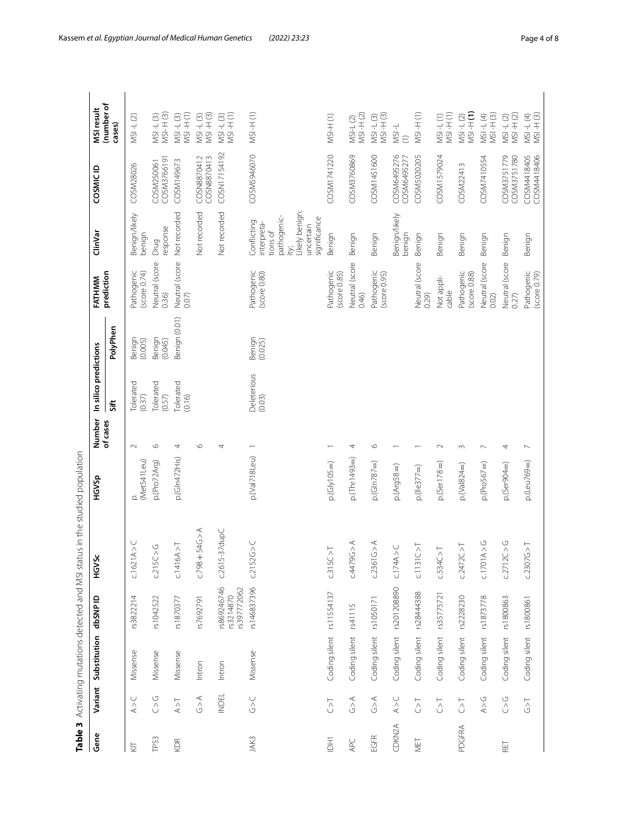<span id="page-3-0"></span>

| Gene      | Variant                                           | Substitution             | dbSNP ID                                | HGVSc                           | HGVSp                 | Number                   | In silico predictions |                   | FATHMM                                      | ClinVar                                                                                                     | COSMIC ID                  | MSI result                      |
|-----------|---------------------------------------------------|--------------------------|-----------------------------------------|---------------------------------|-----------------------|--------------------------|-----------------------|-------------------|---------------------------------------------|-------------------------------------------------------------------------------------------------------------|----------------------------|---------------------------------|
|           |                                                   |                          |                                         |                                 |                       | of cases                 | Sift                  | PolyPhen          | prediction                                  |                                                                                                             |                            | (number of<br>cases)            |
| <b>IZ</b> | A > C                                             | Missense                 | rs3822214                               | $\rm{_{\wedge}^{}}$<br>C1621A   | (Met541Leu)<br>₫      | $\sim$                   | Tolerated<br>(0.37)   | Benign<br>(0.005) | Pathogenic<br>$\left($ score 0.74 $\right)$ | Benign/likely<br>benign                                                                                     | COSM28026                  | $MSI - L(2)$                    |
| TP53      | $\bigcirc$                                        | Missense                 | rs1042522                               | $\circ$<br>c215C                | p.(Pro72Arg)          | $\circ$                  | Tolerated<br>(0.57)   | Benign<br>(0.045) | Neutral (score<br>0.36                      | response<br>Drug                                                                                            | COSM3766191<br>COSM250061  | MSI-L (3)<br>MSI-H (3)          |
| KDR       | $\stackrel{\textstyle{+}}{\triangle}$             | Missense                 | rs1870377                               | $\overline{\wedge}$<br>C.1416A. | p.(GIn472His)         | 4                        | olerated<br>(0.16)    | Benign (0.01)     | Neutral (score<br>0.07)                     | Not recorded                                                                                                | COSM149673                 | $MSI + H(1)$<br>$MSI - L(3)$    |
|           | $\begin{array}{c}\n\infty \\ \infty\n\end{array}$ | Intron                   | rs7692791                               | $C.798 + 54G > A$               |                       | $\circ$                  |                       |                   |                                             | Not recorded                                                                                                | COSN8870412<br>COSN8870413 | $MSI + I(3)$<br>$MSI - L(3)$    |
|           | <b>INDEL</b>                                      | Intron                   | rs869246746<br>rs397772062<br>rs3214870 | $c.2615-37dupC$                 |                       | 4                        |                       |                   |                                             | Not recorded                                                                                                | COSN17154192               | $MSI + H(1)$<br>$MSI - L(3)$    |
| JAK3      | $\frac{1}{2}$                                     | Missense                 | rs146837396                             | c.2152G > C                     | p.(Val718Leu)         |                          | Deleterious<br>(0.03) | Benign<br>(0.025) | Pathogenic<br>$(score\ 0.80)$               | ikely benign;<br>pathogenic-<br>significance<br>Conflicting<br>interpreta-<br>uncertain<br>tions of<br>ity; | COSM5946070                | $MSI + H(1)$                    |
| Ξ         | $\overline{C}$                                    | Coding silent rs11554137 |                                         | C.315C > T                      | $p.(G y105=)$         |                          |                       |                   | Pathogenic<br>(score 0.85)                  | Benign                                                                                                      | COSM1741220                | $MSI+ (1)$                      |
| APC       | $\begin{array}{c}\n\prec\\ \n\circ\n\end{array}$  | Coding silent            | rs41115                                 | C.4479G > A                     | $p(Thr1493=)$         | 4                        |                       |                   | Neutral (score<br>0.46)                     | Benign                                                                                                      | COSM3760869                | $MSI + I(2)$<br><b>MSI-L(2)</b> |
| EGFR      | $\begin{array}{c}\n\prec\\ \n\circ\n\end{array}$  | Coding silent            | rs1050171                               | C.2361G > A                     | $p.(Gln787=)$         | $\circ$                  |                       |                   | Pathogenic<br>(score 0.95)                  | Benign                                                                                                      | COSM1451600                | $MSI - H(3)$<br>$MSI - L(3)$    |
| CDKN2A    | $\lambda > C$                                     | Coding silent            | rs201208890                             | $\cup$<br>c.174A>               | $p.(Arg58 = )$        |                          |                       |                   |                                             | Benign/likely<br>benign                                                                                     | COSM6495276<br>COSM6495277 | $1 - 15M$<br>$\widehat{c}$      |
| MET       | $\overline{C}$                                    | Coding silent            | rs28444388                              | $\overline{\wedge}$<br>C.1131C  | $p_{\rm c}$ (lle377=) |                          |                       |                   | Neutral (score<br>0.29                      | Benign                                                                                                      | COSM5020205                | $MSI + H(1)$                    |
|           | $\overline{C}$                                    | Coding silent            | rs35775721                              | c.534C > T                      | $p(Ser178=)$          | $\sim$                   |                       |                   | Not appli-<br>cable                         | Benign                                                                                                      | COSM1579024                | $MSI - L(T)$<br>$MSI - H(T)$    |
| PDGFRA    | $\overline{\sim}$                                 | Coding silent            | rs2228230                               | $\overline{\wedge}$<br>c.2472C  | p.(Val824=)           | S                        |                       |                   | Pathogenic<br>(score 0.88)                  | Benign                                                                                                      | COSM22413                  | $MSI - L (2)$<br>$MSI - H (1)$  |
|           | A > G                                             | Coding silent            | rs1873778                               | $\frac{0}{\wedge}$<br>C.1701A   | $p.(Pro567=)$         | $\overline{\phantom{0}}$ |                       |                   | Neutral (score<br>0.02)                     | Benign                                                                                                      | COSM7410554                | $MSI + I(3)$<br>$MSI - L(4)$    |
| RET       | $\bigcirc$                                        | Coding silent            | rs1800863                               | $\frac{0}{\wedge}$<br>c.2712C   | $p(Ser904=)$          | 4                        |                       |                   | Neutral (score<br>0.27                      | Benign                                                                                                      | COSM3751779<br>COSM3751780 | $MSI + I(2)$<br>$MSI - L(2)$    |
|           | $\overline{\hat{C}}$                              | Coding silent rs1800861  |                                         | c.2307G > T                     | $p($ Leu769= $)$      | $\overline{ }$           |                       |                   | Pathogenic<br>(score 0.79)                  | Benign                                                                                                      | COSM4418405<br>COSM4418406 | MSI-L(4)<br>MSI-H(3)            |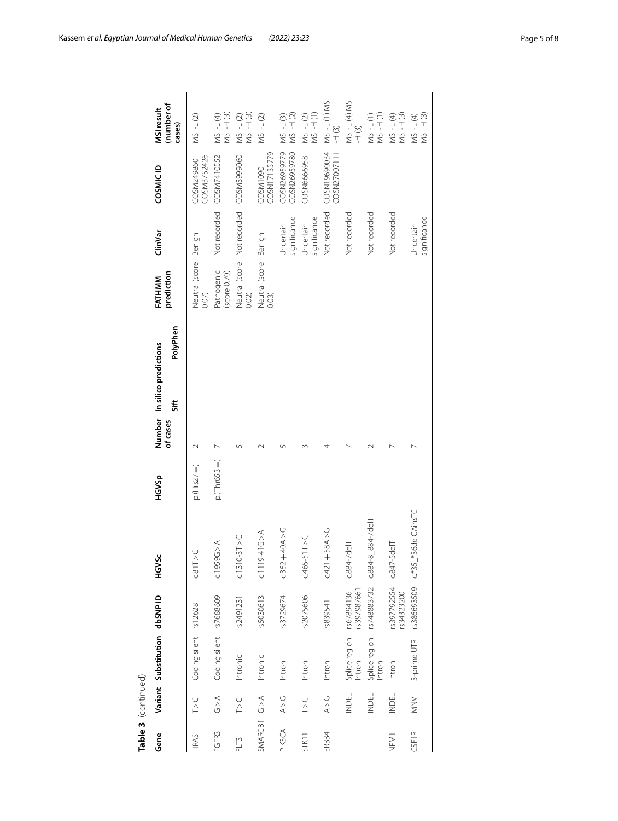|             | Table 3 (continued) |                                    |                           |                          |               |          |                              |                                |                                         |                              |                               |
|-------------|---------------------|------------------------------------|---------------------------|--------------------------|---------------|----------|------------------------------|--------------------------------|-----------------------------------------|------------------------------|-------------------------------|
| Gene        |                     | Variant Substitution dbSNPID       |                           | š<br>у5<br>Э             | HGVSp         |          | Number In silico predictions | FATHMM                         | ClinVar                                 | COSMIC ID                    | MSI result                    |
|             |                     |                                    |                           |                          |               | of cases | PolyPhen<br>Sift             | prediction                     |                                         |                              | (number of<br>cases)          |
| HRAS        | V<br>∩              | Coding silent rs12628              |                           | $\geq$<br>$\overline{3}$ | $p(His27=)$   |          |                              | Neutral (score Benign<br>0.07  |                                         | COSM3752426<br>COSM249860    | $MSI - L(2)$                  |
| FGFR3       | 62 <sup>4</sup>     | Coding silent rs7688609            |                           | C.1959G > A              | $p.(Thr653=)$ |          |                              | Pathogenic<br>(score 0.70)     |                                         | Not recorded COSM7410552     | $MSI + (3)$<br>MSI-L(4)       |
| FLT3        | $\frac{1}{2}$       | Intronic                           | rs2491231                 | $C.1310-3T > C$          |               |          |                              | 0.02)                          | Neutral (score Not recorded COSM3999060 |                              | $MSI + (3)$<br>$MSI - L(2)$   |
| SMARCB1 G>A |                     | Intronic                           | rs5030613                 | $C.1119 - 416 < \lambda$ |               |          |                              | Neutral (score Benign<br>0.03) |                                         | COSN17135779<br>COSM1090     | $MSI - L(2)$                  |
| PIK3CA      | $\lambda > 0$       | Intron                             | rs3729674                 | $-40A > 0$<br>c.352      |               |          |                              |                                | significance<br>Uncertain               | COSN26959779<br>COSN26959780 | $MSI + I(2)$<br>$MSI - L(3)$  |
| STK11       | $\frac{1}{2}$       | Intron                             | rs2075606                 | $C.465 - 511 > C$        |               |          |                              |                                | significance<br>Uncertain               | COSN6666958                  | MSI-H(1)<br>$MSI - L(2)$      |
| ERBB4       | A > G               | Intron                             | rs839541                  | $+58A > G$<br>C.421      |               |          |                              |                                | Not recorded                            | COSN19690034<br>COSN27007111 | MSI-L(1) MSI<br>$\frac{1}{2}$ |
|             | <b>INDEL</b>        | Splice region rs67894136<br>Intron | rs397987661               | $C.884-7$ dell           |               |          |                              |                                | Not recorded                            |                              | MSI-L(4) MSI<br>$+$ (3)       |
|             | <b>INDEL</b>        | Splice region<br>Intron            | rs748883732               | $C.884 - 8$ 884-7de ITI  |               |          |                              |                                | Not recorded                            |                              | $MSI + I(1)$<br>$MSI - L(1)$  |
| NPM1        | <b>INDEL</b>        | Intron                             | rs397792554<br>rs34323200 | $c.847 - 5$ delT         |               |          |                              |                                | Not recorded                            |                              | MSI-L(4)<br>MSI-H(3)          |
| CSF1R       | $\geq$              | 3-prime UTR                        | rs386693509               | c.*35_*36delCAinsTC      |               |          |                              |                                | significance<br>Uncertain               |                              | MSI -L (4)<br>MSI -H (3)      |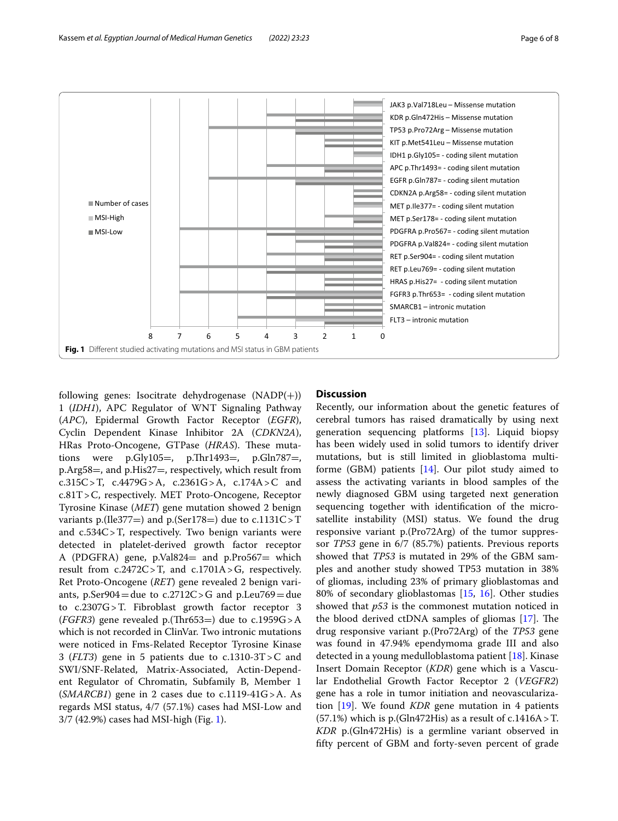

<span id="page-5-0"></span>following genes: Isocitrate dehydrogenase  $(NADP(+))$ 1 (*IDH1*), APC Regulator of WNT Signaling Pathway (*APC*), Epidermal Growth Factor Receptor (*EGFR*), Cyclin Dependent Kinase Inhibitor 2A (*CDKN2A*), HRas Proto-Oncogene, GTPase (*HRAS*). These mutations were  $p.Gly105=$ ,  $p.Thr1493=$ ,  $p.Gln787=$ , p.Arg58=, and p.His27=, respectively, which result from c.315C>T, c.4479G>A, c.2361G>A, c.174A>C and c.81T>C, respectively. MET Proto-Oncogene, Receptor Tyrosine Kinase (*MET*) gene mutation showed 2 benign variants p.(Ile377=) and p.(Ser178=) due to  $c.1131C > T$ and c.534C>T, respectively. Two benign variants were detected in platelet-derived growth factor receptor A (PDGFRA) gene, p.Val824= and p.Pro567= which result from  $c.2472C > T$ , and  $c.1701A > G$ , respectively. Ret Proto-Oncogene (*RET*) gene revealed 2 benign variants,  $p$ .Ser904 = due to  $c$ .2712C > G and  $p$ .Leu769 = due to c.2307G>T. Fibroblast growth factor receptor 3 (*FGFR3*) gene revealed p.(Thr653=) due to  $c.1959G > A$ which is not recorded in ClinVar. Two intronic mutations were noticed in Fms-Related Receptor Tyrosine Kinase 3 (*FLT3*) gene in 5 patients due to c.1310-3T>C and SWI/SNF-Related, Matrix-Associated, Actin-Dependent Regulator of Chromatin, Subfamily B, Member 1 (*SMARCB1*) gene in 2 cases due to c.1119-41G>A. As regards MSI status, 4/7 (57.1%) cases had MSI-Low and 3/7 (42.9%) cases had MSI-high (Fig. [1\)](#page-5-0).

# **Discussion**

Recently, our information about the genetic features of cerebral tumors has raised dramatically by using next generation sequencing platforms [[13\]](#page-7-7). Liquid biopsy has been widely used in solid tumors to identify driver mutations, but is still limited in glioblastoma multiforme (GBM) patients [\[14\]](#page-7-8). Our pilot study aimed to assess the activating variants in blood samples of the newly diagnosed GBM using targeted next generation sequencing together with identifcation of the microsatellite instability (MSI) status. We found the drug responsive variant p.(Pro72Arg) of the tumor suppressor *TP53* gene in 6/7 (85.7%) patients. Previous reports showed that *TP53* is mutated in 29% of the GBM samples and another study showed TP53 mutation in 38% of gliomas, including 23% of primary glioblastomas and 80% of secondary glioblastomas [\[15](#page-7-9), [16](#page-7-10)]. Other studies showed that *p53* is the commonest mutation noticed in the blood derived ctDNA samples of gliomas  $[17]$ . The drug responsive variant p.(Pro72Arg) of the *TP53* gene was found in 47.94% ependymoma grade III and also detected in a young medulloblastoma patient [[18](#page-7-12)]. Kinase Insert Domain Receptor (*KDR*) gene which is a Vascular Endothelial Growth Factor Receptor 2 (*VEGFR2*) gene has a role in tumor initiation and neovascularization [[19\]](#page-7-13). We found *KDR* gene mutation in 4 patients  $(57.1\%)$  which is p. (Gln472His) as a result of c.1416A > T. *KDR* p.(Gln472His) is a germline variant observed in ffty percent of GBM and forty-seven percent of grade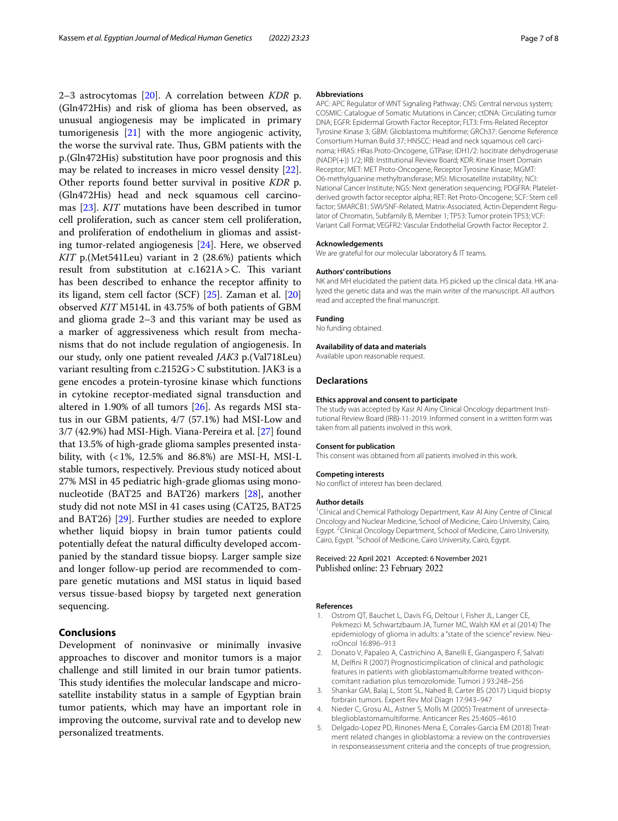2–3 astrocytomas [\[20](#page-7-14)]. A correlation between *KDR* p. (Gln472His) and risk of glioma has been observed, as unusual angiogenesis may be implicated in primary tumorigenesis [[21\]](#page-7-15) with the more angiogenic activity, the worse the survival rate. Thus, GBM patients with the p.(Gln472His) substitution have poor prognosis and this may be related to increases in micro vessel density [\[22](#page-7-16)]. Other reports found better survival in positive *KDR* p. (Gln472His) head and neck squamous cell carcinomas [\[23\]](#page-7-17). *KIT* mutations have been described in tumor cell proliferation, such as cancer stem cell proliferation, and proliferation of endothelium in gliomas and assisting tumor-related angiogenesis [\[24\]](#page-7-18). Here, we observed *KIT* p.(Met541Leu) variant in 2 (28.6%) patients which result from substitution at  $c.1621A > C$ . This variant has been described to enhance the receptor affinity to its ligand, stem cell factor (SCF) [\[25](#page-7-19)]. Zaman et al. [[20](#page-7-14)] observed *KIT* M514L in 43.75% of both patients of GBM and glioma grade 2–3 and this variant may be used as a marker of aggressiveness which result from mechanisms that do not include regulation of angiogenesis. In our study, only one patient revealed *JAK3* p.(Val718Leu) variant resulting from c.2152G > C substitution. JAK3 is a gene encodes a protein-tyrosine kinase which functions in cytokine receptor-mediated signal transduction and altered in 1.90% of all tumors [[26\]](#page-7-20). As regards MSI status in our GBM patients, 4/7 (57.1%) had MSI-Low and 3/7 (42.9%) had MSI-High. Viana-Pereira et al. [\[27\]](#page-7-21) found that 13.5% of high-grade glioma samples presented instability, with  $\left($  < 1%, 12.5% and 86.8%) are MSI-H, MSI-L stable tumors, respectively. Previous study noticed about 27% MSI in 45 pediatric high-grade gliomas using mononucleotide (BAT25 and BAT26) markers [[28\]](#page-7-22), another study did not note MSI in 41 cases using (CAT25, BAT25 and BAT26) [[29\]](#page-7-23). Further studies are needed to explore whether liquid biopsy in brain tumor patients could potentially defeat the natural difficulty developed accompanied by the standard tissue biopsy. Larger sample size and longer follow-up period are recommended to compare genetic mutations and MSI status in liquid based versus tissue-based biopsy by targeted next generation sequencing.

# **Conclusions**

Development of noninvasive or minimally invasive approaches to discover and monitor tumors is a major challenge and still limited in our brain tumor patients. This study identifies the molecular landscape and microsatellite instability status in a sample of Egyptian brain tumor patients, which may have an important role in improving the outcome, survival rate and to develop new personalized treatments.

#### **Abbreviations**

APC: APC Regulator of WNT Signaling Pathway; CNS: Central nervous system; COSMIC: Catalogue of Somatic Mutations in Cancer; ctDNA: Circulating tumor DNA; EGFR: Epidermal Growth Factor Receptor; FLT3: Fms-Related Receptor Tyrosine Kinase 3; GBM: Glioblastoma multiforme; GRCh37: Genome Reference Consortium Human Build 37; HNSCC: Head and neck squamous cell carcinoma; HRAS: HRas Proto-Oncogene, GTPase; IDH1/2: Isocitrate dehydrogenase (NADP(+)) 1/2; IRB: Institutional Review Board; KDR: Kinase Insert Domain Receptor; MET: MET Proto-Oncogene, Receptor Tyrosine Kinase; MGMT: O6-methylguanine methyltransferase; MSI: Microsatellite instability; NCI: National Cancer Institute; NGS: Next generation sequencing; PDGFRA: Plateletderived growth factor receptor alpha; RET: Ret Proto-Oncogene; SCF: Stem cell factor; SMARCB1: SWI/SNF-Related, Matrix-Associated, Actin-Dependent Regulator of Chromatin, Subfamily B, Member 1; TP53: Tumor protein TP53; VCF: Variant Call Format; VEGFR2: Vascular Endothelial Growth Factor Receptor 2.

#### **Acknowledgements**

We are grateful for our molecular laboratory & IT teams.

#### **Authors' contributions**

NK and MH elucidated the patient data. HS picked up the clinical data. HK analyzed the genetic data and was the main writer of the manuscript. All authors read and accepted the fnal manuscript.

#### **Funding**

No funding obtained.

#### **Availability of data and materials**

Available upon reasonable request.

## **Declarations**

#### **Ethics approval and consent to participate**

The study was accepted by Kasr Al Ainy Clinical Oncology department Institutional Review Board (IRB)-11-2019. Informed consent in a written form was taken from all patients involved in this work.

#### **Consent for publication**

This consent was obtained from all patients involved in this work.

# **Competing interests**

No confict of interest has been declared.

## **Author details**

<sup>1</sup> Clinical and Chemical Pathology Department, Kasr Al Ainy Centre of Clinical Oncology and Nuclear Medicine, School of Medicine, Cairo University, Cairo, Egypt.<sup>2</sup>Clinical Oncology Department, School of Medicine, Cairo University, Cairo, Egypt.<sup>3</sup> School of Medicine, Cairo University, Cairo, Egypt.

### Received: 22 April 2021 Accepted: 6 November 2021 Published online: 23 February 2022

#### **References**

- <span id="page-6-0"></span>1. Ostrom QT, Bauchet L, Davis FG, Deltour I, Fisher JL, Langer CE, Pekmezci M, Schwartzbaum JA, Turner MC, Walsh KM et al (2014) The epidemiology of glioma in adults: a "state of the science" review. NeuroOncol 16:896–913
- <span id="page-6-1"></span>2. Donato V, Papaleo A, Castrichino A, Banelli E, Giangaspero F, Salvati M, Delfni R (2007) Prognosticimplication of clinical and pathologic features in patients with glioblastomamultiforme treated withconcomitant radiation plus temozolomide. Tumori J 93:248–256
- <span id="page-6-2"></span>3. Shankar GM, Balaj L, Stott SL, Nahed B, Carter BS (2017) Liquid biopsy forbrain tumors. Expert Rev Mol Diagn 17:943–947
- <span id="page-6-3"></span>4. Nieder C, Grosu AL, Astner S, Molls M (2005) Treatment of unresectableglioblastomamultiforme. Anticancer Res 25:4605–4610
- <span id="page-6-4"></span>5. Delgado-Lopez PD, Rinones-Mena E, Corrales-Garcia EM (2018) Treatment related changes in glioblastoma: a review on the controversies in responseassessment criteria and the concepts of true progression,